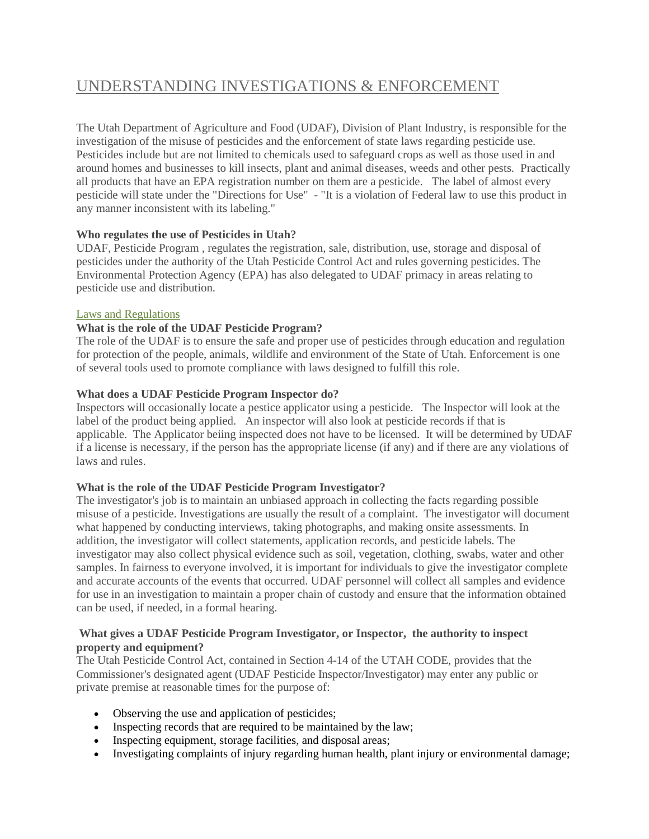# [UNDERSTANDING](https://ag.utah.gov/pesticides/pesticide-inspection/39-pesticides/309-understanding-investigations-and-enforcement.html) INVESTIGATIONS & ENFORCEMENT

The Utah Department of Agriculture and Food (UDAF), Division of Plant Industry, is responsible for the investigation of the misuse of pesticides and the enforcement of state laws regarding pesticide use. Pesticides include but are not limited to chemicals used to safeguard crops as well as those used in and around homes and businesses to kill insects, plant and animal diseases, weeds and other pests. Practically all products that have an EPA registration number on them are a pesticide. The label of almost every pesticide will state under the "Directions for Use" - "It is a violation of Federal law to use this product in any manner inconsistent with its labeling."

#### **Who regulates the use of Pesticides in Utah?**

UDAF, Pesticide Program , regulates the registration, sale, distribution, use, storage and disposal of pesticides under the authority of the Utah Pesticide Control Act and rules governing pesticides. The Environmental Protection Agency (EPA) has also delegated to UDAF primacy in areas relating to pesticide use and distribution.

#### Laws and [Regulations](https://ag.utah.gov/pesticides/pesticide-laws.html)

### **What is the role of the UDAF Pesticide Program?**

The role of the UDAF is to ensure the safe and proper use of pesticides through education and regulation for protection of the people, animals, wildlife and environment of the State of Utah. Enforcement is one of several tools used to promote compliance with laws designed to fulfill this role.

### **What does a UDAF Pesticide Program Inspector do?**

Inspectors will occasionally locate a pestice applicator using a pesticide. The Inspector will look at the label of the product being applied. An inspector will also look at pesticide records if that is applicable. The Applicator beiing inspected does not have to be licensed. It will be determined by UDAF if a license is necessary, if the person has the appropriate license (if any) and if there are any violations of laws and rules.

#### **What is the role of the UDAF Pesticide Program Investigator?**

The investigator's job is to maintain an unbiased approach in collecting the facts regarding possible misuse of a pesticide. Investigations are usually the result of a complaint. The investigator will document what happened by conducting interviews, taking photographs, and making onsite assessments. In addition, the investigator will collect statements, application records, and pesticide labels. The investigator may also collect physical evidence such as soil, vegetation, clothing, swabs, water and other samples. In fairness to everyone involved, it is important for individuals to give the investigator complete and accurate accounts of the events that occurred. UDAF personnel will collect all samples and evidence for use in an investigation to maintain a proper chain of custody and ensure that the information obtained can be used, if needed, in a formal hearing.

#### **What gives a UDAF Pesticide Program Investigator, or Inspector, the authority to inspect property and equipment?**

The Utah Pesticide Control Act, contained in Section 4-14 of the UTAH CODE, provides that the Commissioner's designated agent (UDAF Pesticide Inspector/Investigator) may enter any public or private premise at reasonable times for the purpose of:

- Observing the use and application of pesticides;
- Inspecting records that are required to be maintained by the law;
- Inspecting equipment, storage facilities, and disposal areas;
- Investigating complaints of injury regarding human health, plant injury or environmental damage;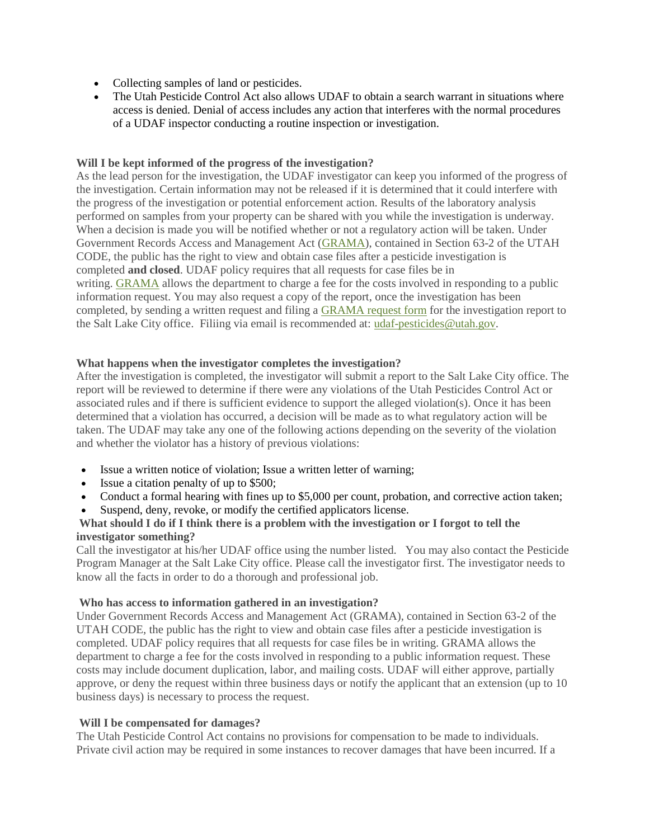- Collecting samples of land or pesticides.
- The Utah Pesticide Control Act also allows UDAF to obtain a search warrant in situations where access is denied. Denial of access includes any action that interferes with the normal procedures of a UDAF inspector conducting a routine inspection or investigation.

#### **Will I be kept informed of the progress of the investigation?**

As the lead person for the investigation, the UDAF investigator can keep you informed of the progress of the investigation. Certain information may not be released if it is determined that it could interfere with the progress of the investigation or potential enforcement action. Results of the laboratory analysis performed on samples from your property can be shared with you while the investigation is underway. When a decision is made you will be notified whether or not a regulatory action will be taken. Under Government Records Access and Management Act [\(GRAMA\)](https://ag.utah.gov/documents/GRAMARequestForm.pdf), contained in Section 63-2 of the UTAH CODE, the public has the right to view and obtain case files after a pesticide investigation is completed **and closed**. UDAF policy requires that all requests for case files be in writing. [GRAMA](https://ag.utah.gov/documents/GRAMARequestForm.pdf) allows the department to charge a fee for the costs involved in responding to a public information request. You may also request a copy of the report, once the investigation has been completed, by sending a written request and filing a [GRAMA](https://ag.utah.gov/documents/GRAMARequestForm.pdf) request form for the investigation report to the Salt Lake City office. Filiing via email is recommended at: [udaf-pesticides@utah.gov.](mailto:udaf-pesticides@utah.gov)

#### **What happens when the investigator completes the investigation?**

After the investigation is completed, the investigator will submit a report to the Salt Lake City office. The report will be reviewed to determine if there were any violations of the Utah Pesticides Control Act or associated rules and if there is sufficient evidence to support the alleged violation(s). Once it has been determined that a violation has occurred, a decision will be made as to what regulatory action will be taken. The UDAF may take any one of the following actions depending on the severity of the violation and whether the violator has a history of previous violations:

- Issue a written notice of violation; Issue a written letter of warning;
- Issue a citation penalty of up to \$500;
- Conduct a formal hearing with fines up to \$5,000 per count, probation, and corrective action taken;
- Suspend, deny, revoke, or modify the certified applicators license.

### What should I do if I think there is a problem with the investigation or I forgot to tell the **investigator something?**

Call the investigator at his/her UDAF office using the number listed. You may also contact the Pesticide Program Manager at the Salt Lake City office. Please call the investigator first. The investigator needs to know all the facts in order to do a thorough and professional job.

#### **Who has access to information gathered in an investigation?**

Under Government Records Access and Management Act (GRAMA), contained in Section 63-2 of the UTAH CODE, the public has the right to view and obtain case files after a pesticide investigation is completed. UDAF policy requires that all requests for case files be in writing. GRAMA allows the department to charge a fee for the costs involved in responding to a public information request. These costs may include document duplication, labor, and mailing costs. UDAF will either approve, partially approve, or deny the request within three business days or notify the applicant that an extension (up to 10 business days) is necessary to process the request.

#### **Will I be compensated for damages?**

The Utah Pesticide Control Act contains no provisions for compensation to be made to individuals. Private civil action may be required in some instances to recover damages that have been incurred. If a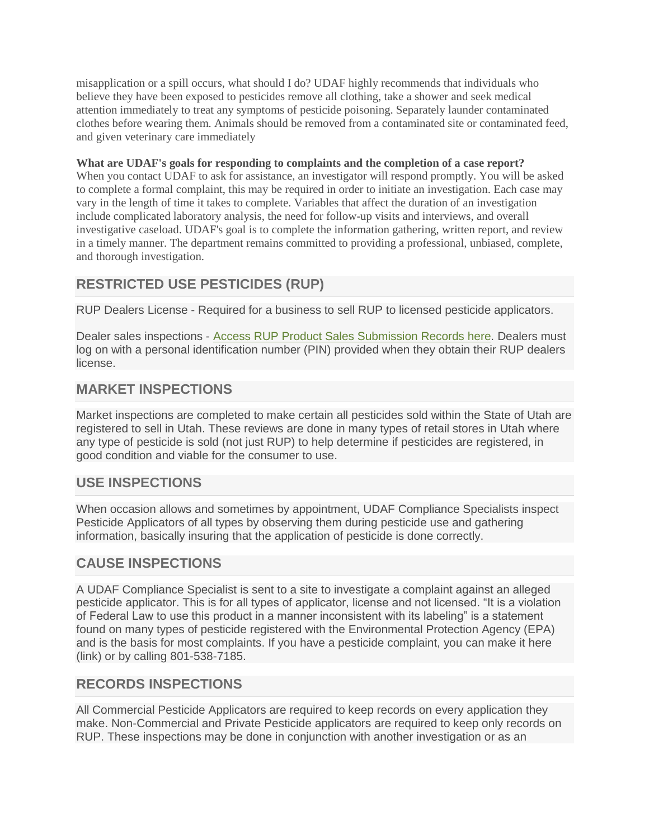misapplication or a spill occurs, what should I do? UDAF highly recommends that individuals who believe they have been exposed to pesticides remove all clothing, take a shower and seek medical attention immediately to treat any symptoms of pesticide poisoning. Separately launder contaminated clothes before wearing them. Animals should be removed from a contaminated site or contaminated feed, and given veterinary care immediately

### **What are UDAF's goals for responding to complaints and the completion of a case report?**

When you contact UDAF to ask for assistance, an investigator will respond promptly. You will be asked to complete a formal complaint, this may be required in order to initiate an investigation. Each case may vary in the length of time it takes to complete. Variables that affect the duration of an investigation include complicated laboratory analysis, the need for follow-up visits and interviews, and overall investigative caseload. UDAF's goal is to complete the information gathering, written report, and review in a timely manner. The department remains committed to providing a professional, unbiased, complete, and thorough investigation.

# **RESTRICTED USE PESTICIDES (RUP)**

RUP Dealers License - Required for a business to sell RUP to licensed pesticide applicators.

Dealer sales inspections - Access RUP Product Sales [Submission](https://webapp.ag.utah.gov/appLauncher/?applicationURL=https://webapp.ag.utah.gov/rupProducts/) Records here. Dealers must log on with a personal identification number (PIN) provided when they obtain their RUP dealers license.

# **MARKET INSPECTIONS**

Market inspections are completed to make certain all pesticides sold within the State of Utah are registered to sell in Utah. These reviews are done in many types of retail stores in Utah where any type of pesticide is sold (not just RUP) to help determine if pesticides are registered, in good condition and viable for the consumer to use.

# **USE INSPECTIONS**

When occasion allows and sometimes by appointment, UDAF Compliance Specialists inspect Pesticide Applicators of all types by observing them during pesticide use and gathering information, basically insuring that the application of pesticide is done correctly.

## **CAUSE INSPECTIONS**

A UDAF Compliance Specialist is sent to a site to investigate a complaint against an alleged pesticide applicator. This is for all types of applicator, license and not licensed. "It is a violation of Federal Law to use this product in a manner inconsistent with its labeling" is a statement found on many types of pesticide registered with the Environmental Protection Agency (EPA) and is the basis for most complaints. If you have a pesticide complaint, you can make it here (link) or by calling 801-538-7185.

# **RECORDS INSPECTIONS**

All Commercial Pesticide Applicators are required to keep records on every application they make. Non-Commercial and Private Pesticide applicators are required to keep only records on RUP. These inspections may be done in conjunction with another investigation or as an